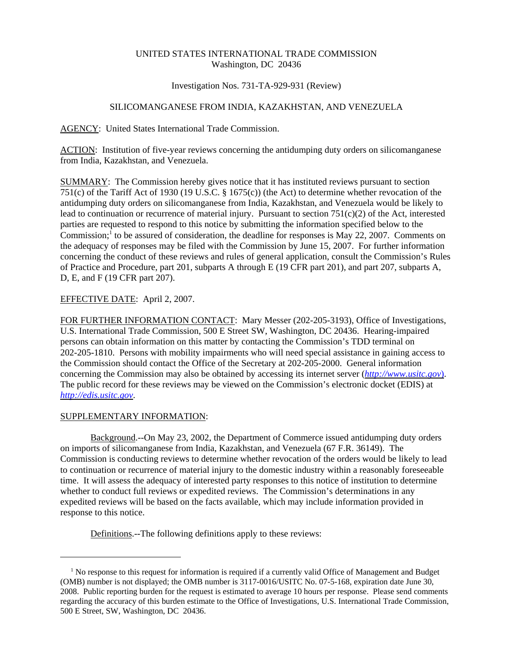# UNITED STATES INTERNATIONAL TRADE COMMISSION Washington, DC 20436

### Investigation Nos. 731-TA-929-931 (Review)

# SILICOMANGANESE FROM INDIA, KAZAKHSTAN, AND VENEZUELA

AGENCY: United States International Trade Commission.

ACTION: Institution of five-year reviews concerning the antidumping duty orders on silicomanganese from India, Kazakhstan, and Venezuela.

SUMMARY: The Commission hereby gives notice that it has instituted reviews pursuant to section 751(c) of the Tariff Act of 1930 (19 U.S.C. § 1675(c)) (the Act) to determine whether revocation of the antidumping duty orders on silicomanganese from India, Kazakhstan, and Venezuela would be likely to lead to continuation or recurrence of material injury. Pursuant to section  $751(c)(2)$  of the Act, interested parties are requested to respond to this notice by submitting the information specified below to the Commission;<sup>1</sup> to be assured of consideration, the deadline for responses is May 22, 2007. Comments on the adequacy of responses may be filed with the Commission by June 15, 2007. For further information concerning the conduct of these reviews and rules of general application, consult the Commission's Rules of Practice and Procedure, part 201, subparts A through E (19 CFR part 201), and part 207, subparts A, D, E, and F (19 CFR part 207).

# EFFECTIVE DATE: April 2, 2007.

FOR FURTHER INFORMATION CONTACT: Mary Messer (202-205-3193), Office of Investigations, U.S. International Trade Commission, 500 E Street SW, Washington, DC 20436. Hearing-impaired persons can obtain information on this matter by contacting the Commission's TDD terminal on 202-205-1810. Persons with mobility impairments who will need special assistance in gaining access to the Commission should contact the Office of the Secretary at 202-205-2000. General information concerning the Commission may also be obtained by accessing its internet server (*http://www.usitc.gov*). The public record for these reviews may be viewed on the Commission's electronic docket (EDIS) at *http://edis.usitc.gov*.

#### SUPPLEMENTARY INFORMATION:

Background.--On May 23, 2002, the Department of Commerce issued antidumping duty orders on imports of silicomanganese from India, Kazakhstan, and Venezuela (67 F.R. 36149). The Commission is conducting reviews to determine whether revocation of the orders would be likely to lead to continuation or recurrence of material injury to the domestic industry within a reasonably foreseeable time. It will assess the adequacy of interested party responses to this notice of institution to determine whether to conduct full reviews or expedited reviews. The Commission's determinations in any expedited reviews will be based on the facts available, which may include information provided in response to this notice.

Definitions.--The following definitions apply to these reviews:

<sup>&</sup>lt;sup>1</sup> No response to this request for information is required if a currently valid Office of Management and Budget (OMB) number is not displayed; the OMB number is 3117-0016/USITC No. 07-5-168, expiration date June 30, 2008. Public reporting burden for the request is estimated to average 10 hours per response. Please send comments regarding the accuracy of this burden estimate to the Office of Investigations, U.S. International Trade Commission, 500 E Street, SW, Washington, DC 20436.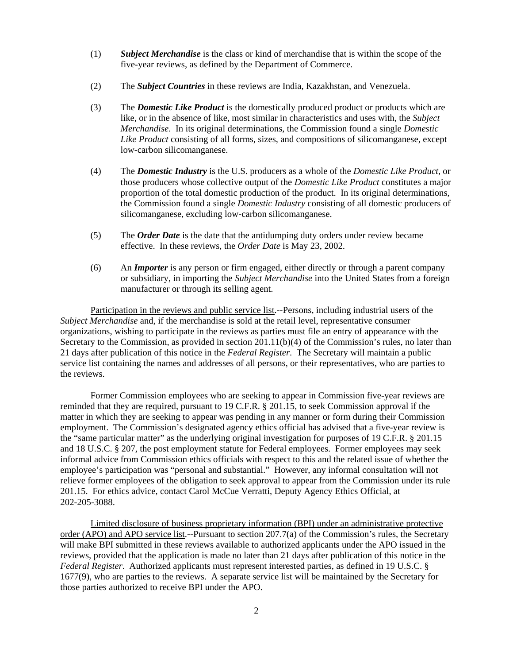- (1) *Subject Merchandise* is the class or kind of merchandise that is within the scope of the five-year reviews, as defined by the Department of Commerce.
- (2) The *Subject Countries* in these reviews are India, Kazakhstan, and Venezuela.
- (3) The *Domestic Like Product* is the domestically produced product or products which are like, or in the absence of like, most similar in characteristics and uses with, the *Subject Merchandise*. In its original determinations, the Commission found a single *Domestic Like Product* consisting of all forms, sizes, and compositions of silicomanganese, except low-carbon silicomanganese.
- (4) The *Domestic Industry* is the U.S. producers as a whole of the *Domestic Like Product*, or those producers whose collective output of the *Domestic Like Product* constitutes a major proportion of the total domestic production of the product. In its original determinations, the Commission found a single *Domestic Industry* consisting of all domestic producers of silicomanganese, excluding low-carbon silicomanganese.
- (5) The *Order Date* is the date that the antidumping duty orders under review became effective. In these reviews, the *Order Date* is May 23, 2002.
- (6) An *Importer* is any person or firm engaged, either directly or through a parent company or subsidiary, in importing the *Subject Merchandise* into the United States from a foreign manufacturer or through its selling agent.

Participation in the reviews and public service list.--Persons, including industrial users of the *Subject Merchandise* and, if the merchandise is sold at the retail level, representative consumer organizations, wishing to participate in the reviews as parties must file an entry of appearance with the Secretary to the Commission, as provided in section 201.11(b)(4) of the Commission's rules, no later than 21 days after publication of this notice in the *Federal Register*. The Secretary will maintain a public service list containing the names and addresses of all persons, or their representatives, who are parties to the reviews.

Former Commission employees who are seeking to appear in Commission five-year reviews are reminded that they are required, pursuant to 19 C.F.R. § 201.15, to seek Commission approval if the matter in which they are seeking to appear was pending in any manner or form during their Commission employment. The Commission's designated agency ethics official has advised that a five-year review is the "same particular matter" as the underlying original investigation for purposes of 19 C.F.R. § 201.15 and 18 U.S.C. § 207, the post employment statute for Federal employees. Former employees may seek informal advice from Commission ethics officials with respect to this and the related issue of whether the employee's participation was "personal and substantial." However, any informal consultation will not relieve former employees of the obligation to seek approval to appear from the Commission under its rule 201.15. For ethics advice, contact Carol McCue Verratti, Deputy Agency Ethics Official, at 202-205-3088.

Limited disclosure of business proprietary information (BPI) under an administrative protective order (APO) and APO service list.--Pursuant to section 207.7(a) of the Commission's rules, the Secretary will make BPI submitted in these reviews available to authorized applicants under the APO issued in the reviews, provided that the application is made no later than 21 days after publication of this notice in the *Federal Register*. Authorized applicants must represent interested parties, as defined in 19 U.S.C. § 1677(9), who are parties to the reviews. A separate service list will be maintained by the Secretary for those parties authorized to receive BPI under the APO.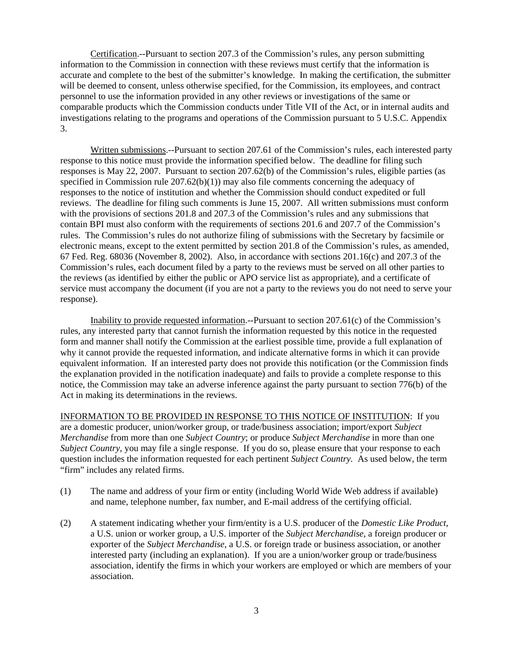Certification.--Pursuant to section 207.3 of the Commission's rules, any person submitting information to the Commission in connection with these reviews must certify that the information is accurate and complete to the best of the submitter's knowledge. In making the certification, the submitter will be deemed to consent, unless otherwise specified, for the Commission, its employees, and contract personnel to use the information provided in any other reviews or investigations of the same or comparable products which the Commission conducts under Title VII of the Act, or in internal audits and investigations relating to the programs and operations of the Commission pursuant to 5 U.S.C. Appendix 3.

Written submissions.--Pursuant to section 207.61 of the Commission's rules, each interested party response to this notice must provide the information specified below. The deadline for filing such responses is May 22, 2007. Pursuant to section 207.62(b) of the Commission's rules, eligible parties (as specified in Commission rule  $207.62(b)(1)$  may also file comments concerning the adequacy of responses to the notice of institution and whether the Commission should conduct expedited or full reviews. The deadline for filing such comments is June 15, 2007. All written submissions must conform with the provisions of sections 201.8 and 207.3 of the Commission's rules and any submissions that contain BPI must also conform with the requirements of sections 201.6 and 207.7 of the Commission's rules. The Commission's rules do not authorize filing of submissions with the Secretary by facsimile or electronic means, except to the extent permitted by section 201.8 of the Commission's rules, as amended, 67 Fed. Reg. 68036 (November 8, 2002). Also, in accordance with sections 201.16(c) and 207.3 of the Commission's rules, each document filed by a party to the reviews must be served on all other parties to the reviews (as identified by either the public or APO service list as appropriate), and a certificate of service must accompany the document (if you are not a party to the reviews you do not need to serve your response).

Inability to provide requested information.--Pursuant to section 207.61(c) of the Commission's rules, any interested party that cannot furnish the information requested by this notice in the requested form and manner shall notify the Commission at the earliest possible time, provide a full explanation of why it cannot provide the requested information, and indicate alternative forms in which it can provide equivalent information. If an interested party does not provide this notification (or the Commission finds the explanation provided in the notification inadequate) and fails to provide a complete response to this notice, the Commission may take an adverse inference against the party pursuant to section 776(b) of the Act in making its determinations in the reviews.

INFORMATION TO BE PROVIDED IN RESPONSE TO THIS NOTICE OF INSTITUTION: If you are a domestic producer, union/worker group, or trade/business association; import/export *Subject Merchandise* from more than one *Subject Country*; or produce *Subject Merchandise* in more than one *Subject Country*, you may file a single response. If you do so, please ensure that your response to each question includes the information requested for each pertinent *Subject Country.* As used below, the term "firm" includes any related firms.

- (1) The name and address of your firm or entity (including World Wide Web address if available) and name, telephone number, fax number, and E-mail address of the certifying official.
- (2) A statement indicating whether your firm/entity is a U.S. producer of the *Domestic Like Product*, a U.S. union or worker group, a U.S. importer of the *Subject Merchandise*, a foreign producer or exporter of the *Subject Merchandise*, a U.S. or foreign trade or business association, or another interested party (including an explanation). If you are a union/worker group or trade/business association, identify the firms in which your workers are employed or which are members of your association.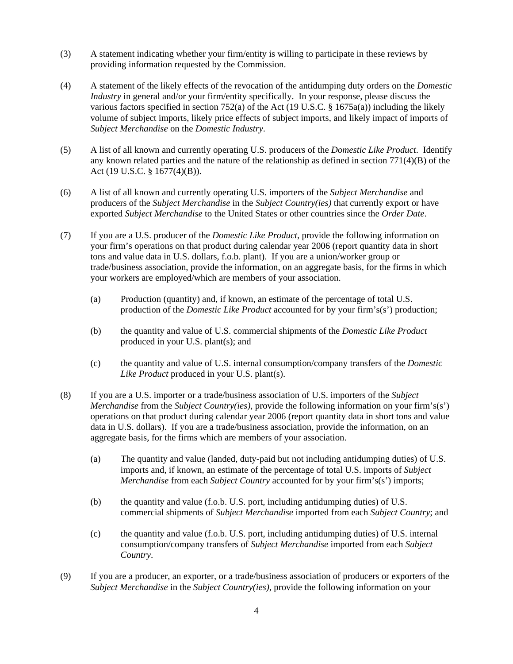- (3) A statement indicating whether your firm/entity is willing to participate in these reviews by providing information requested by the Commission.
- (4) A statement of the likely effects of the revocation of the antidumping duty orders on the *Domestic Industry* in general and/or your firm/entity specifically. In your response, please discuss the various factors specified in section 752(a) of the Act (19 U.S.C. §  $1675a(a)$ ) including the likely volume of subject imports, likely price effects of subject imports, and likely impact of imports of *Subject Merchandise* on the *Domestic Industry*.
- (5) A list of all known and currently operating U.S. producers of the *Domestic Like Product*. Identify any known related parties and the nature of the relationship as defined in section 771(4)(B) of the Act (19 U.S.C. § 1677(4)(B)).
- (6) A list of all known and currently operating U.S. importers of the *Subject Merchandise* and producers of the *Subject Merchandise* in the *Subject Country(ies)* that currently export or have exported *Subject Merchandise* to the United States or other countries since the *Order Date*.
- (7) If you are a U.S. producer of the *Domestic Like Product*, provide the following information on your firm's operations on that product during calendar year 2006 (report quantity data in short tons and value data in U.S. dollars, f.o.b. plant). If you are a union/worker group or trade/business association, provide the information, on an aggregate basis, for the firms in which your workers are employed/which are members of your association.
	- (a) Production (quantity) and, if known, an estimate of the percentage of total U.S. production of the *Domestic Like Product* accounted for by your firm's(s') production;
	- (b) the quantity and value of U.S. commercial shipments of the *Domestic Like Product* produced in your U.S. plant(s); and
	- (c) the quantity and value of U.S. internal consumption/company transfers of the *Domestic Like Product* produced in your U.S. plant(s).
- (8) If you are a U.S. importer or a trade/business association of U.S. importers of the *Subject Merchandise* from the *Subject Country(ies)*, provide the following information on your firm's(s') operations on that product during calendar year 2006 (report quantity data in short tons and value data in U.S. dollars). If you are a trade/business association, provide the information, on an aggregate basis, for the firms which are members of your association.
	- (a) The quantity and value (landed, duty-paid but not including antidumping duties) of U.S. imports and, if known, an estimate of the percentage of total U.S. imports of *Subject Merchandise* from each *Subject Country* accounted for by your firm's(s') imports;
	- (b) the quantity and value (f.o.b. U.S. port, including antidumping duties) of U.S. commercial shipments of *Subject Merchandise* imported from each *Subject Country*; and
	- (c) the quantity and value (f.o.b. U.S. port, including antidumping duties) of U.S. internal consumption/company transfers of *Subject Merchandise* imported from each *Subject Country*.
- (9) If you are a producer, an exporter, or a trade/business association of producers or exporters of the *Subject Merchandise* in the *Subject Country(ies)*, provide the following information on your